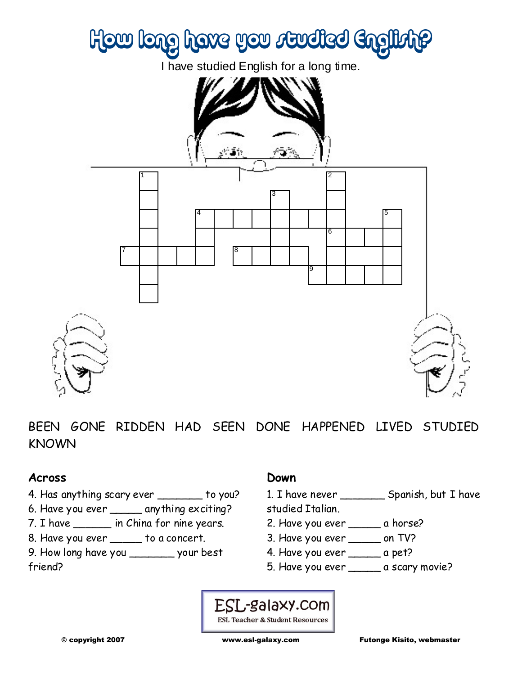

BEEN GONE RIDDEN HAD SEEN DONE HAPPENED LIVED STUDIED KNOWN

### **Across**

- 4. Has anything scary ever \_\_\_\_\_\_\_ to you?
- 6. Have you ever \_\_\_\_\_ anything exciting?
- 7. I have \_\_\_\_\_\_ in China for nine years.
- 8. Have you ever \_\_\_\_\_ to a concert.
- 9. How long have you \_\_\_\_\_\_\_ your best friend?

### **Down**

1. I have never \_\_\_\_\_\_\_ Spanish, but I have

studied Italian.

- 2. Have you ever \_\_\_\_\_\_ a horse?
- 3. Have you ever \_\_\_\_\_ on TV?
- 4. Have you ever \_\_\_\_\_ a pet?
- 5. Have you ever \_\_\_\_\_ a scary movie?

### ESL-galaxy.com ESL Teacher & Student Resources

© copyright 2007 www.esl-galaxy.com Futonge Kisito, webmaster